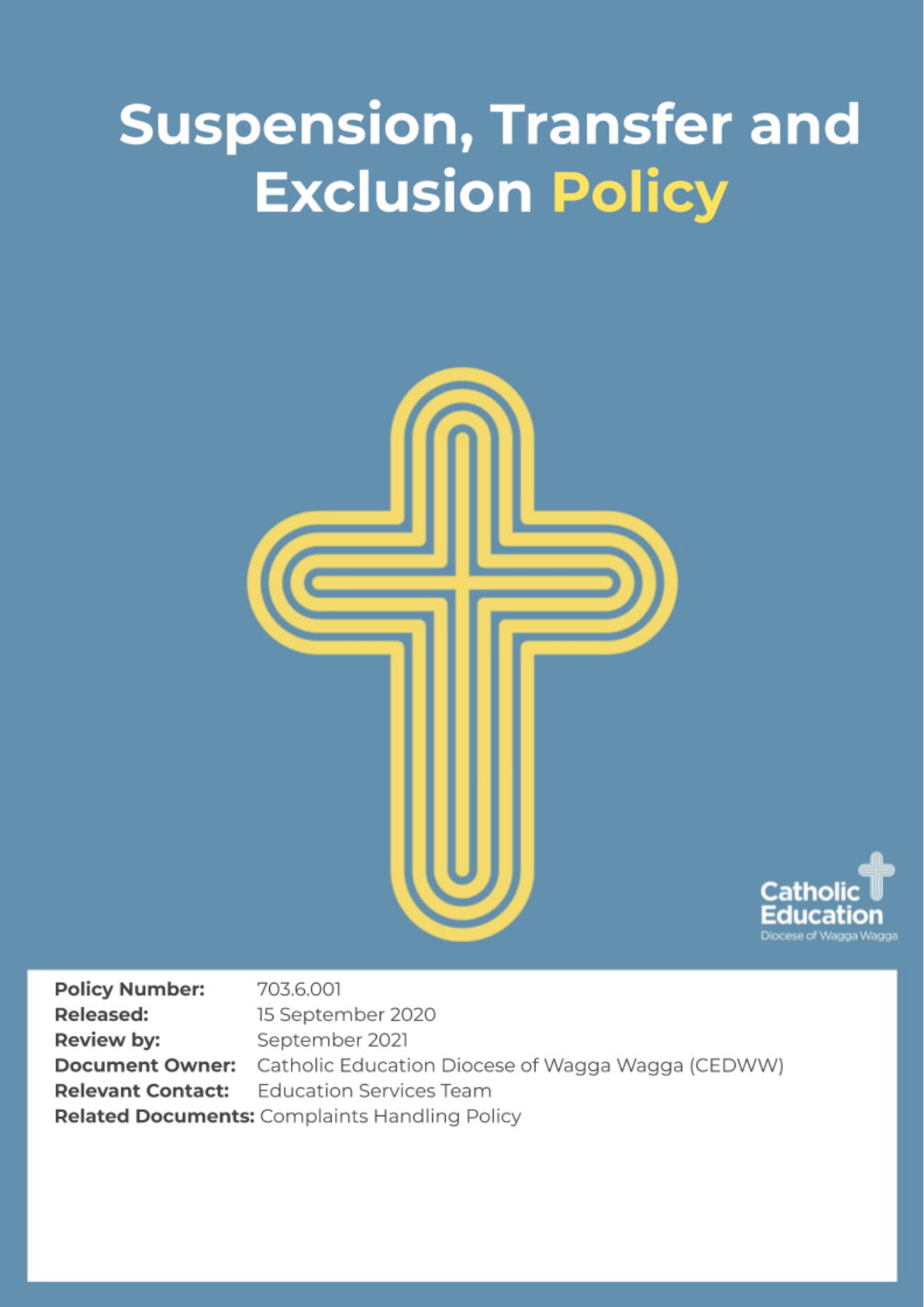# **Suspension, Transfer and Exclusion Policy**





**Policy Number:** 703.6.001 **Released:** 15 September 2020 Review by: September 2021 Catholic Education Diocese of Wagga Wagga (CEDWW) **Document Owner: Education Services Team Relevant Contact:** Related Documents: Complaints Handling Policy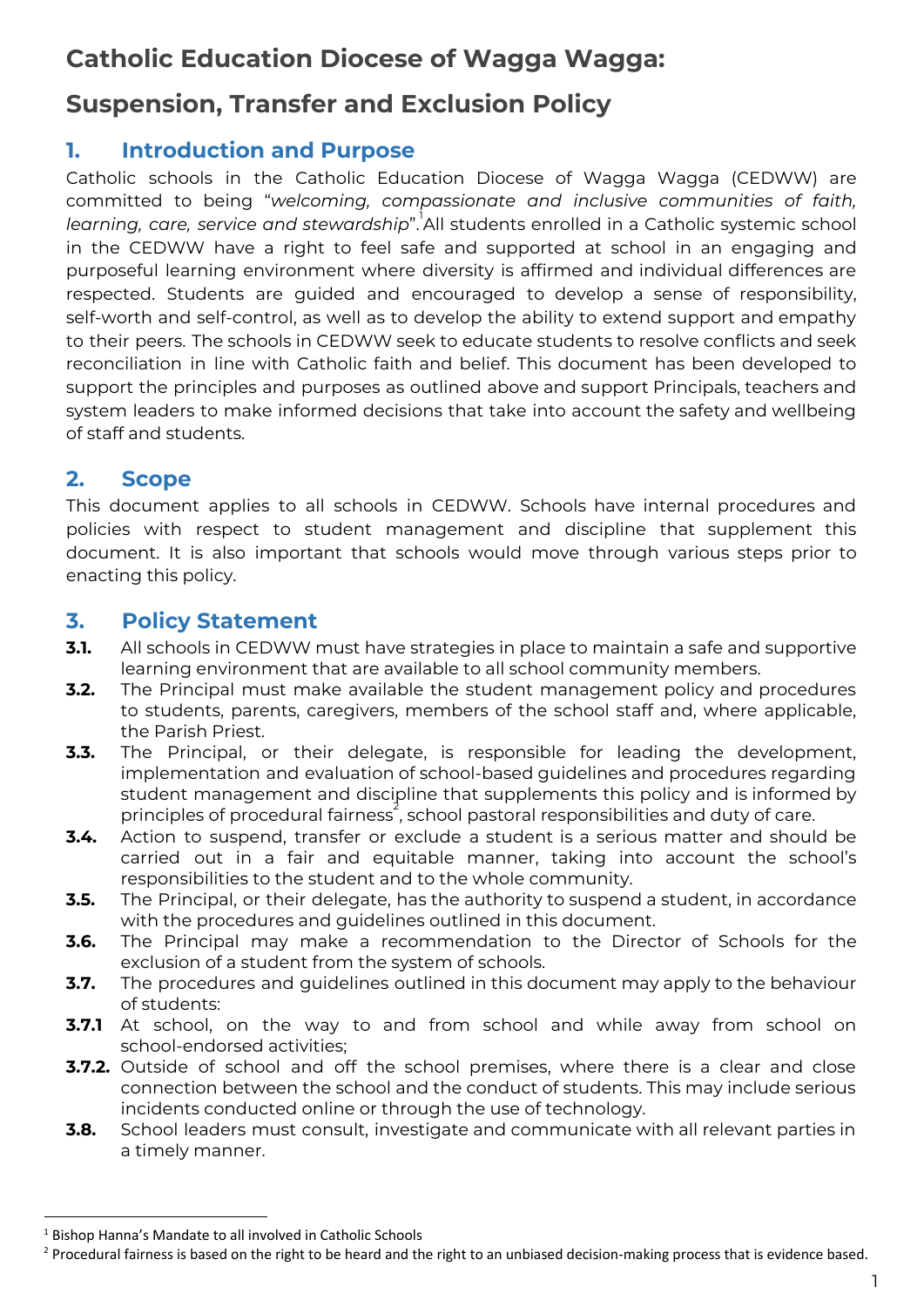# **Catholic Education Diocese of Wagga Wagga:**

# **Suspension, Transfer and Exclusion Policy**

## **1. Introduction and Purpose**

Catholic schools in the Catholic Education Diocese of Wagga Wagga (CEDWW) are committed to being "*welcoming, compassionate and inclusive communities of faith, learning, care, service and stewardship*". All students enrolled in a Catholic systemic school 1 in the CEDWW have a right to feel safe and supported at school in an engaging and purposeful learning environment where diversity is affirmed and individual differences are respected. Students are guided and encouraged to develop a sense of responsibility, self-worth and self-control, as well as to develop the ability to extend support and empathy to their peers. The schools in CEDWW seek to educate students to resolve conflicts and seek reconciliation in line with Catholic faith and belief. This document has been developed to support the principles and purposes as outlined above and support Principals, teachers and system leaders to make informed decisions that take into account the safety and wellbeing of staff and students.

## **2. Scope**

This document applies to all schools in CEDWW. Schools have internal procedures and policies with respect to student management and discipline that supplement this document. It is also important that schools would move through various steps prior to enacting this policy.

## **3. Policy Statement**

- **3.1.** All schools in CEDWW must have strategies in place to maintain a safe and supportive learning environment that are available to all school community members.
- **3.2.** The Principal must make available the student management policy and procedures to students, parents, caregivers, members of the school staff and, where applicable, the Parish Priest.
- **3.3.** The Principal, or their delegate, is responsible for leading the development, implementation and evaluation of school-based guidelines and procedures regarding student management and discipline that supplements this policy and is informed by principles of procedural fairness<sup>2</sup>, school pastoral responsibilities and duty of care.
- **3.4.** Action to suspend, transfer or exclude a student is a serious matter and should be carried out in a fair and equitable manner, taking into account the school's responsibilities to the student and to the whole community.
- **3.5.** The Principal, or their delegate, has the authority to suspend a student, in accordance with the procedures and guidelines outlined in this document.
- **3.6.** The Principal may make a recommendation to the Director of Schools for the exclusion of a student from the system of schools.
- **3.7.** The procedures and guidelines outlined in this document may apply to the behaviour of students:
- **3.7.1** At school, on the way to and from school and while away from school on school-endorsed activities;
- **3.7.2.** Outside of school and off the school premises, where there is a clear and close connection between the school and the conduct of students. This may include serious incidents conducted online or through the use of technology.
- **3.8.** School leaders must consult, investigate and communicate with all relevant parties in a timely manner.

<sup>&</sup>lt;sup>1</sup> Bishop Hanna's Mandate to all involved in Catholic Schools

<sup>&</sup>lt;sup>2</sup> Procedural fairness is based on the right to be heard and the right to an unbiased decision-making process that is evidence based.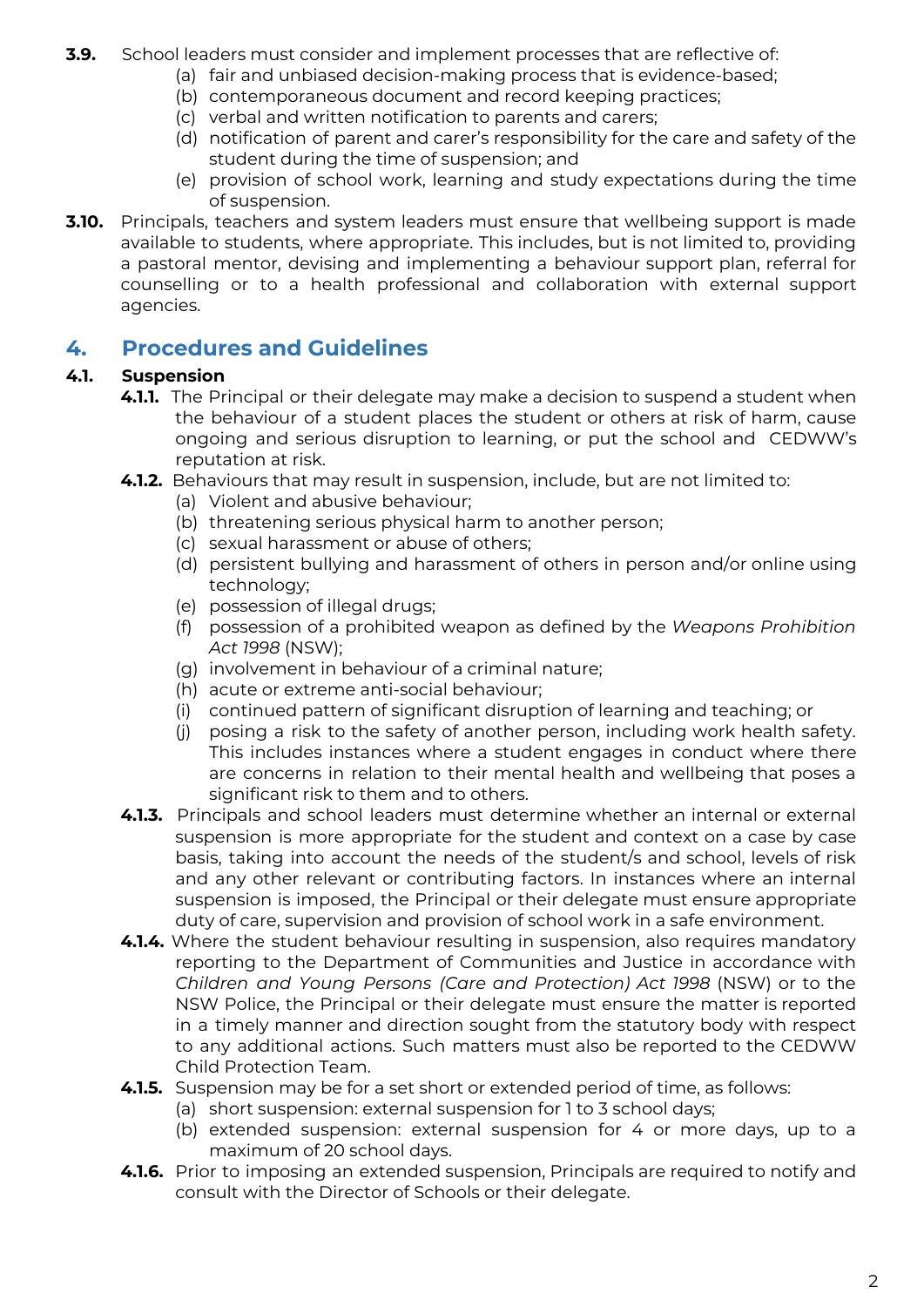- **3.9.** School leaders must consider and implement processes that are reflective of:
	- (a) fair and unbiased decision-making process that is evidence-based;
	- (b) contemporaneous document and record keeping practices;
	- (c) verbal and written notification to parents and carers;
	- (d) notification of parent and carer's responsibility for the care and safety of the student during the time of suspension; and
	- (e) provision of school work, learning and study expectations during the time of suspension.
- **3.10.** Principals, teachers and system leaders must ensure that wellbeing support is made available to students, where appropriate. This includes, but is not limited to, providing a pastoral mentor, devising and implementing a behaviour support plan, referral for counselling or to a health professional and collaboration with external support agencies.

#### **4. Procedures and Guidelines**

#### **4.1. Suspension**

- **4.1.1.** The Principal or their delegate may make a decision to suspend a student when the behaviour of a student places the student or others at risk of harm, cause ongoing and serious disruption to learning, or put the school and CEDWW's reputation at risk.
- **4.1.2.** Behaviours that may result in suspension, include, but are not limited to:
	- (a) Violent and abusive behaviour;
	- (b) threatening serious physical harm to another person;
	- (c) sexual harassment or abuse of others;
	- (d) persistent bullying and harassment of others in person and/or online using technology;
	- (e) possession of illegal drugs;
	- (f) possession of a prohibited weapon as defined by the *Weapons Prohibition Act 1998* (NSW);
	- (g) involvement in behaviour of a criminal nature;
	- (h) acute or extreme anti-social behaviour;
	- (i) continued pattern of significant disruption of learning and teaching; or
	- (j) posing a risk to the safety of another person, including work health safety. This includes instances where a student engages in conduct where there are concerns in relation to their mental health and wellbeing that poses a significant risk to them and to others.
- **4.1.3.** Principals and school leaders must determine whether an internal or external suspension is more appropriate for the student and context on a case by case basis, taking into account the needs of the student/s and school, levels of risk and any other relevant or contributing factors. In instances where an internal suspension is imposed, the Principal or their delegate must ensure appropriate duty of care, supervision and provision of school work in a safe environment.
- **4.1.4.** Where the student behaviour resulting in suspension, also requires mandatory reporting to the Department of Communities and Justice in accordance with *Children and Young Persons (Care and Protection) Act 1998* (NSW) or to the NSW Police, the Principal or their delegate must ensure the matter is reported in a timely manner and direction sought from the statutory body with respect to any additional actions. Such matters must also be reported to the CEDWW Child Protection Team.
- **4.1.5.** Suspension may be for a set short or extended period of time, as follows:
	- (a) short suspension: external suspension for 1 to 3 school days;
	- (b) extended suspension: external suspension for 4 or more days, up to a maximum of 20 school days.
- **4.1.6.** Prior to imposing an extended suspension, Principals are required to notify and consult with the Director of Schools or their delegate.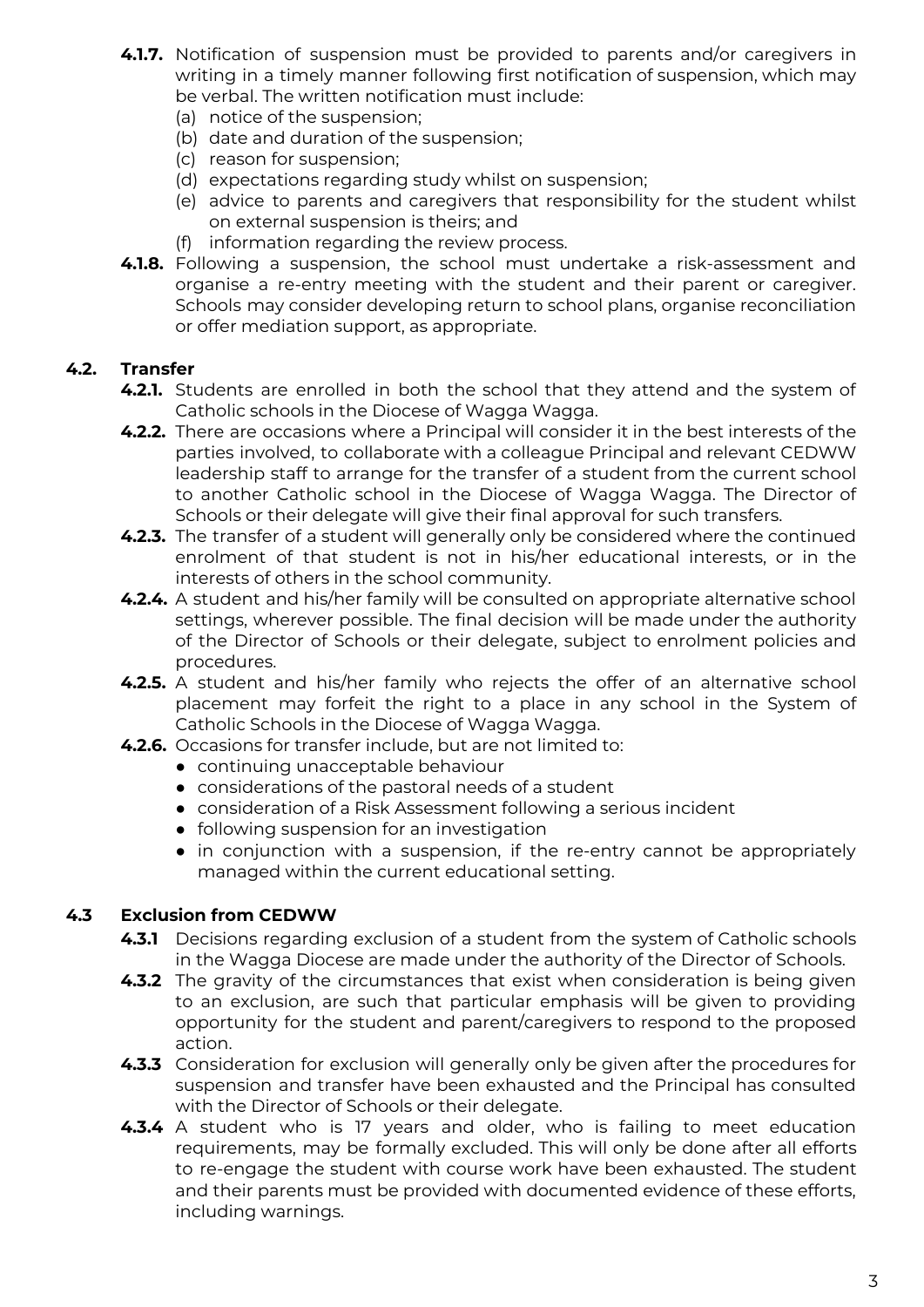- **4.1.7.** Notification of suspension must be provided to parents and/or caregivers in writing in a timely manner following first notification of suspension, which may be verbal. The written notification must include:
	- (a) notice of the suspension;
	- (b) date and duration of the suspension;
	- (c) reason for suspension;
	- (d) expectations regarding study whilst on suspension;
	- (e) advice to parents and caregivers that responsibility for the student whilst on external suspension is theirs; and
	- (f) information regarding the review process.
- **4.1.8.** Following a suspension, the school must undertake a risk-assessment and organise a re-entry meeting with the student and their parent or caregiver. Schools may consider developing return to school plans, organise reconciliation or offer mediation support, as appropriate.

#### **4.2. Transfer**

- **4.2.1.** Students are enrolled in both the school that they attend and the system of Catholic schools in the Diocese of Wagga Wagga.
- **4.2.2.** There are occasions where a Principal will consider it in the best interests of the parties involved, to collaborate with a colleague Principal and relevant CEDWW leadership staff to arrange for the transfer of a student from the current school to another Catholic school in the Diocese of Wagga Wagga. The Director of Schools or their delegate will give their final approval for such transfers.
- **4.2.3.** The transfer of a student will generally only be considered where the continued enrolment of that student is not in his/her educational interests, or in the interests of others in the school community.
- **4.2.4.** A student and his/her family will be consulted on appropriate alternative school settings, wherever possible. The final decision will be made under the authority of the Director of Schools or their delegate, subject to enrolment policies and procedures.
- **4.2.5.** A student and his/her family who rejects the offer of an alternative school placement may forfeit the right to a place in any school in the System of Catholic Schools in the Diocese of Wagga Wagga.
- **4.2.6.** Occasions for transfer include, but are not limited to:
	- continuing unacceptable behaviour
	- considerations of the pastoral needs of a student
	- consideration of a Risk Assessment following a serious incident
	- following suspension for an investigation
	- in conjunction with a suspension, if the re-entry cannot be appropriately managed within the current educational setting.

#### **4.3 Exclusion from CEDWW**

- **4.3.1** Decisions regarding exclusion of a student from the system of Catholic schools in the Wagga Diocese are made under the authority of the Director of Schools.
- **4.3.2** The gravity of the circumstances that exist when consideration is being given to an exclusion, are such that particular emphasis will be given to providing opportunity for the student and parent/caregivers to respond to the proposed action.
- **4.3.3** Consideration for exclusion will generally only be given after the procedures for suspension and transfer have been exhausted and the Principal has consulted with the Director of Schools or their delegate.
- **4.3.4** A student who is 17 years and older, who is failing to meet education requirements, may be formally excluded. This will only be done after all efforts to re-engage the student with course work have been exhausted. The student and their parents must be provided with documented evidence of these efforts, including warnings.